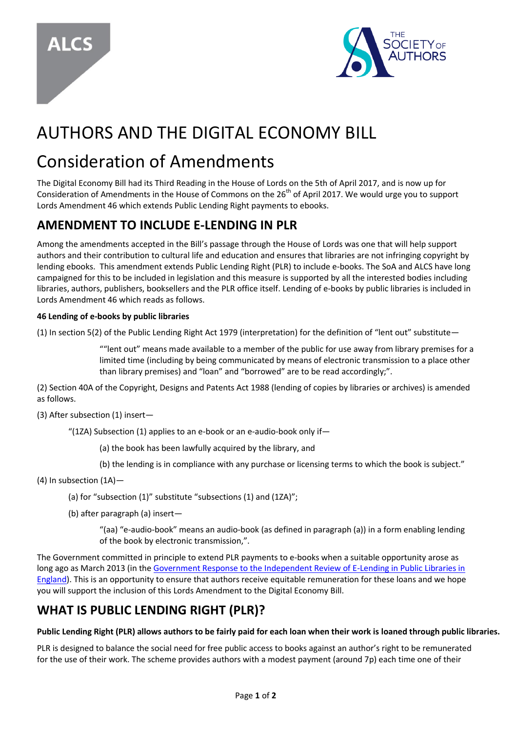



# AUTHORS AND THE DIGITAL ECONOMY BILL

## Consideration of Amendments

The Digital Economy Bill had its Third Reading in the House of Lords on the 5th of April 2017, and is now up for Consideration of Amendments in the House of Commons on the 26<sup>th</sup> of April 2017. We would urge you to support Lords Amendment 46 which extends Public Lending Right payments to ebooks.

### **AMENDMENT TO INCLUDE E-LENDING IN PLR**

Among the amendments accepted in the Bill's passage through the House of Lords was one that will help support authors and their contribution to cultural life and education and ensures that libraries are not infringing copyright by lending ebooks. This amendment extends Public Lending Right (PLR) to include e-books. The SoA and ALCS have long campaigned for this to be included in legislation and this measure is supported by all the interested bodies including libraries, authors, publishers, booksellers and the PLR office itself. Lending of e-books by public libraries is included in Lords Amendment 46 which reads as follows.

### **46 Lending of e-books by public libraries**

(1) In section 5(2) of the Public Lending Right Act 1979 (interpretation) for the definition of "lent out" substitute—

""lent out" means made available to a member of the public for use away from library premises for a limited time (including by being communicated by means of electronic transmission to a place other than library premises) and "loan" and "borrowed" are to be read accordingly;".

(2) Section 40A of the Copyright, Designs and Patents Act 1988 (lending of copies by libraries or archives) is amended as follows.

(3) After subsection (1) insert—

"(1ZA) Subsection (1) applies to an e-book or an e-audio-book only if—

- (a) the book has been lawfully acquired by the library, and
- (b) the lending is in compliance with any purchase or licensing terms to which the book is subject."
- (4) In subsection (1A)—
	- (a) for "subsection (1)" substitute "subsections (1) and (1ZA)";
	- (b) after paragraph (a) insert—

"(aa) "e-audio-book" means an audio-book (as defined in paragraph (a)) in a form enabling lending of the book by electronic transmission,".

The Government committed in principle to extend PLR payments to e-books when a suitable opportunity arose as long ago as March 2013 (in th[e Government Response to the Independent Review of E-Lending in Public Libraries in](https://www.alcs.co.uk/Documents/ELending-Government-response-March-2013.aspx)  [England\)](https://www.alcs.co.uk/Documents/ELending-Government-response-March-2013.aspx). This is an opportunity to ensure that authors receive equitable remuneration for these loans and we hope you will support the inclusion of this Lords Amendment to the Digital Economy Bill.

### **WHAT IS PUBLIC LENDING RIGHT (PLR)?**

### **Public Lending Right (PLR) allows authors to be fairly paid for each loan when their work is loaned through public libraries.**

PLR is designed to balance the social need for free public access to books against an author's right to be remunerated for the use of their work. The scheme provides authors with a modest payment (around 7p) each time one of their